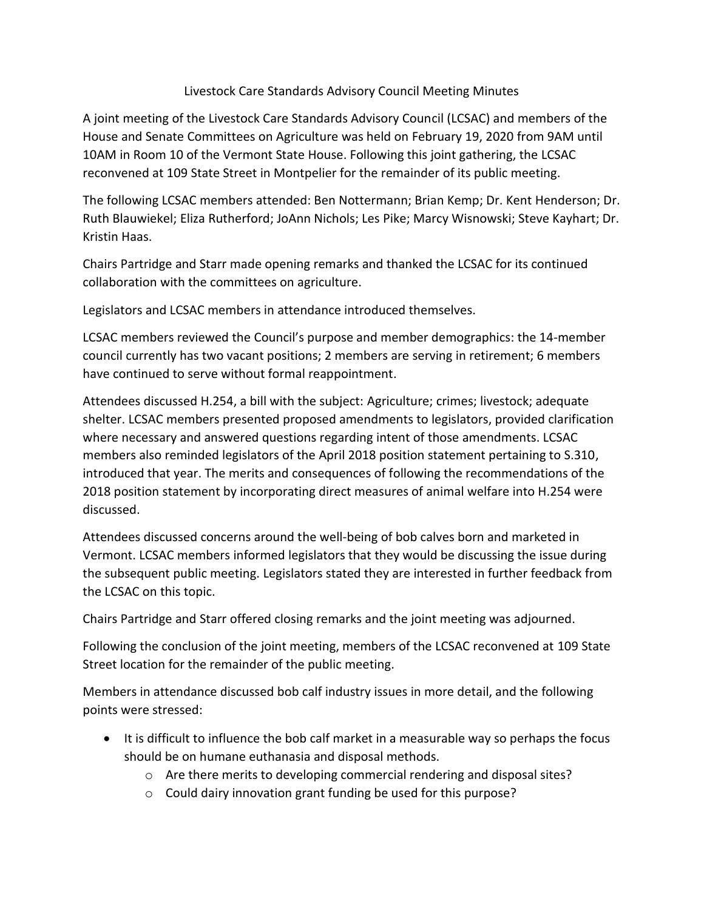## Livestock Care Standards Advisory Council Meeting Minutes

A joint meeting of the Livestock Care Standards Advisory Council (LCSAC) and members of the House and Senate Committees on Agriculture was held on February 19, 2020 from 9AM until 10AM in Room 10 of the Vermont State House. Following this joint gathering, the LCSAC reconvened at 109 State Street in Montpelier for the remainder of its public meeting.

The following LCSAC members attended: Ben Nottermann; Brian Kemp; Dr. Kent Henderson; Dr. Ruth Blauwiekel; Eliza Rutherford; JoAnn Nichols; Les Pike; Marcy Wisnowski; Steve Kayhart; Dr. Kristin Haas.

Chairs Partridge and Starr made opening remarks and thanked the LCSAC for its continued collaboration with the committees on agriculture.

Legislators and LCSAC members in attendance introduced themselves.

LCSAC members reviewed the Council's purpose and member demographics: the 14-member council currently has two vacant positions; 2 members are serving in retirement; 6 members have continued to serve without formal reappointment.

Attendees discussed H.254, a bill with the subject: Agriculture; crimes; livestock; adequate shelter. LCSAC members presented proposed amendments to legislators, provided clarification where necessary and answered questions regarding intent of those amendments. LCSAC members also reminded legislators of the April 2018 position statement pertaining to S.310, introduced that year. The merits and consequences of following the recommendations of the 2018 position statement by incorporating direct measures of animal welfare into H.254 were discussed.

Attendees discussed concerns around the well-being of bob calves born and marketed in Vermont. LCSAC members informed legislators that they would be discussing the issue during the subsequent public meeting. Legislators stated they are interested in further feedback from the LCSAC on this topic.

Chairs Partridge and Starr offered closing remarks and the joint meeting was adjourned.

Following the conclusion of the joint meeting, members of the LCSAC reconvened at 109 State Street location for the remainder of the public meeting.

Members in attendance discussed bob calf industry issues in more detail, and the following points were stressed:

- It is difficult to influence the bob calf market in a measurable way so perhaps the focus should be on humane euthanasia and disposal methods.
	- o Are there merits to developing commercial rendering and disposal sites?
	- o Could dairy innovation grant funding be used for this purpose?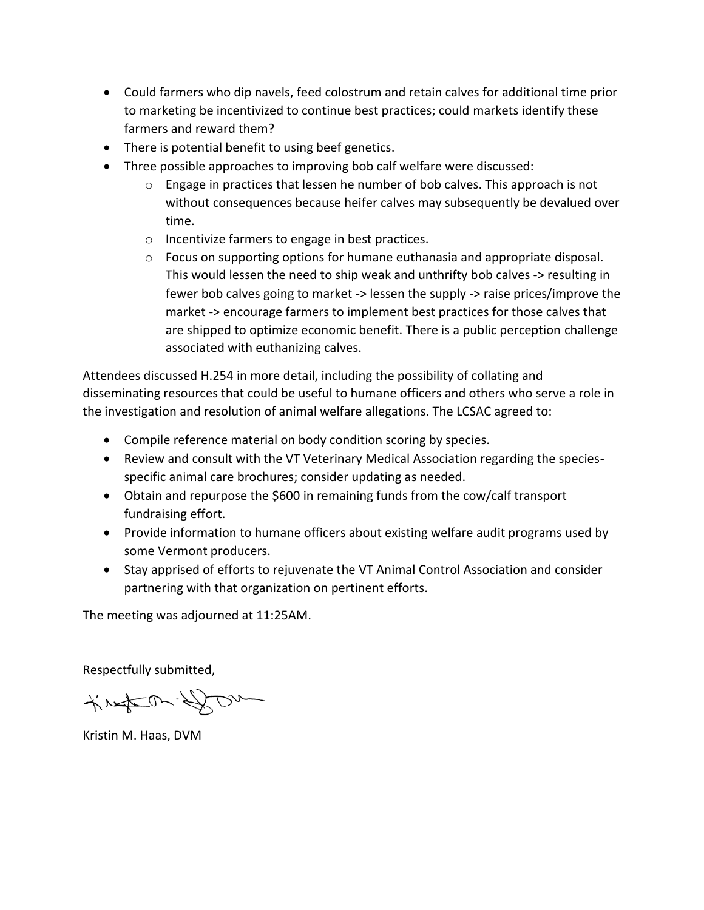- Could farmers who dip navels, feed colostrum and retain calves for additional time prior to marketing be incentivized to continue best practices; could markets identify these farmers and reward them?
- There is potential benefit to using beef genetics.
- Three possible approaches to improving bob calf welfare were discussed:
	- $\circ$  Engage in practices that lessen he number of bob calves. This approach is not without consequences because heifer calves may subsequently be devalued over time.
	- o Incentivize farmers to engage in best practices.
	- o Focus on supporting options for humane euthanasia and appropriate disposal. This would lessen the need to ship weak and unthrifty bob calves -> resulting in fewer bob calves going to market -> lessen the supply -> raise prices/improve the market -> encourage farmers to implement best practices for those calves that are shipped to optimize economic benefit. There is a public perception challenge associated with euthanizing calves.

Attendees discussed H.254 in more detail, including the possibility of collating and disseminating resources that could be useful to humane officers and others who serve a role in the investigation and resolution of animal welfare allegations. The LCSAC agreed to:

- Compile reference material on body condition scoring by species.
- Review and consult with the VT Veterinary Medical Association regarding the speciesspecific animal care brochures; consider updating as needed.
- Obtain and repurpose the \$600 in remaining funds from the cow/calf transport fundraising effort.
- Provide information to humane officers about existing welfare audit programs used by some Vermont producers.
- Stay apprised of efforts to rejuvenate the VT Animal Control Association and consider partnering with that organization on pertinent efforts.

The meeting was adjourned at 11:25AM.

Respectfully submitted,

KNACON-DOM

Kristin M. Haas, DVM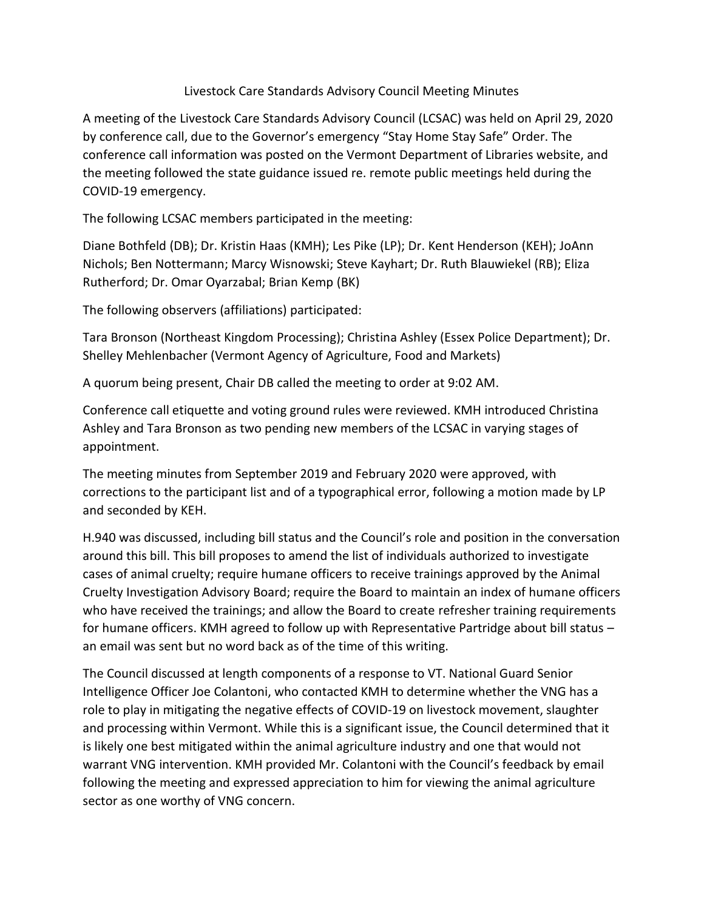## Livestock Care Standards Advisory Council Meeting Minutes

A meeting of the Livestock Care Standards Advisory Council (LCSAC) was held on April 29, 2020 by conference call, due to the Governor's emergency "Stay Home Stay Safe" Order. The conference call information was posted on the Vermont Department of Libraries website, and the meeting followed the state guidance issued re. remote public meetings held during the COVID-19 emergency.

The following LCSAC members participated in the meeting:

Diane Bothfeld (DB); Dr. Kristin Haas (KMH); Les Pike (LP); Dr. Kent Henderson (KEH); JoAnn Nichols; Ben Nottermann; Marcy Wisnowski; Steve Kayhart; Dr. Ruth Blauwiekel (RB); Eliza Rutherford; Dr. Omar Oyarzabal; Brian Kemp (BK)

The following observers (affiliations) participated:

Tara Bronson (Northeast Kingdom Processing); Christina Ashley (Essex Police Department); Dr. Shelley Mehlenbacher (Vermont Agency of Agriculture, Food and Markets)

A quorum being present, Chair DB called the meeting to order at 9:02 AM.

Conference call etiquette and voting ground rules were reviewed. KMH introduced Christina Ashley and Tara Bronson as two pending new members of the LCSAC in varying stages of appointment.

The meeting minutes from September 2019 and February 2020 were approved, with corrections to the participant list and of a typographical error, following a motion made by LP and seconded by KEH.

H.940 was discussed, including bill status and the Council's role and position in the conversation around this bill. This bill proposes to amend the list of individuals authorized to investigate cases of animal cruelty; require humane officers to receive trainings approved by the Animal Cruelty Investigation Advisory Board; require the Board to maintain an index of humane officers who have received the trainings; and allow the Board to create refresher training requirements for humane officers. KMH agreed to follow up with Representative Partridge about bill status – an email was sent but no word back as of the time of this writing.

The Council discussed at length components of a response to VT. National Guard Senior Intelligence Officer Joe Colantoni, who contacted KMH to determine whether the VNG has a role to play in mitigating the negative effects of COVID-19 on livestock movement, slaughter and processing within Vermont. While this is a significant issue, the Council determined that it is likely one best mitigated within the animal agriculture industry and one that would not warrant VNG intervention. KMH provided Mr. Colantoni with the Council's feedback by email following the meeting and expressed appreciation to him for viewing the animal agriculture sector as one worthy of VNG concern.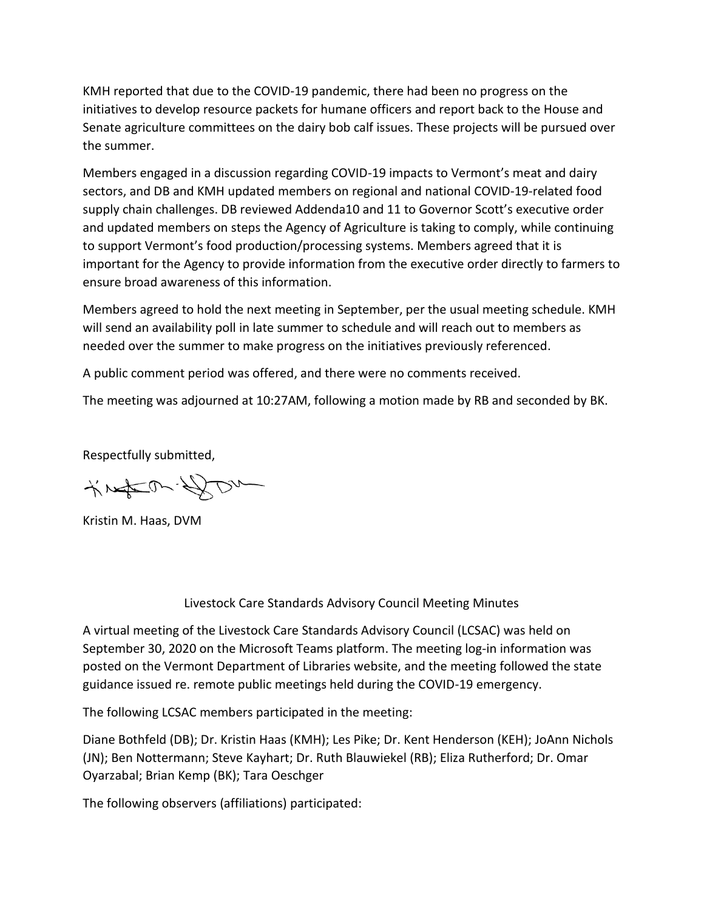KMH reported that due to the COVID-19 pandemic, there had been no progress on the initiatives to develop resource packets for humane officers and report back to the House and Senate agriculture committees on the dairy bob calf issues. These projects will be pursued over the summer.

Members engaged in a discussion regarding COVID-19 impacts to Vermont's meat and dairy sectors, and DB and KMH updated members on regional and national COVID-19-related food supply chain challenges. DB reviewed Addenda10 and 11 to Governor Scott's executive order and updated members on steps the Agency of Agriculture is taking to comply, while continuing to support Vermont's food production/processing systems. Members agreed that it is important for the Agency to provide information from the executive order directly to farmers to ensure broad awareness of this information.

Members agreed to hold the next meeting in September, per the usual meeting schedule. KMH will send an availability poll in late summer to schedule and will reach out to members as needed over the summer to make progress on the initiatives previously referenced.

A public comment period was offered, and there were no comments received.

The meeting was adjourned at 10:27AM, following a motion made by RB and seconded by BK.

Respectfully submitted,

KNACON-DOM

Kristin M. Haas, DVM

## Livestock Care Standards Advisory Council Meeting Minutes

A virtual meeting of the Livestock Care Standards Advisory Council (LCSAC) was held on September 30, 2020 on the Microsoft Teams platform. The meeting log-in information was posted on the Vermont Department of Libraries website, and the meeting followed the state guidance issued re. remote public meetings held during the COVID-19 emergency.

The following LCSAC members participated in the meeting:

Diane Bothfeld (DB); Dr. Kristin Haas (KMH); Les Pike; Dr. Kent Henderson (KEH); JoAnn Nichols (JN); Ben Nottermann; Steve Kayhart; Dr. Ruth Blauwiekel (RB); Eliza Rutherford; Dr. Omar Oyarzabal; Brian Kemp (BK); Tara Oeschger

The following observers (affiliations) participated: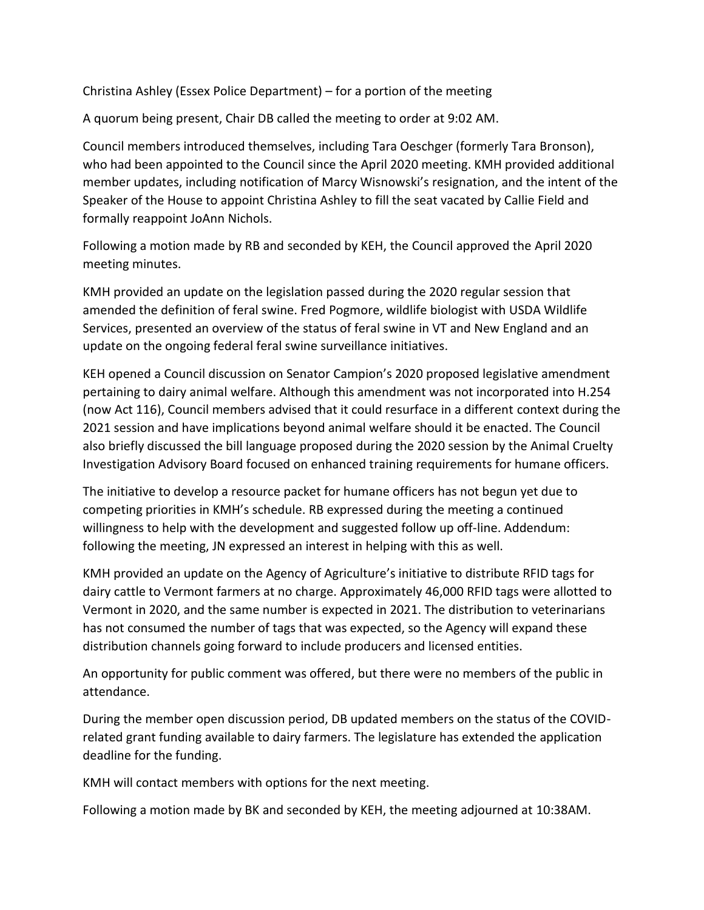Christina Ashley (Essex Police Department) – for a portion of the meeting

A quorum being present, Chair DB called the meeting to order at 9:02 AM.

Council members introduced themselves, including Tara Oeschger (formerly Tara Bronson), who had been appointed to the Council since the April 2020 meeting. KMH provided additional member updates, including notification of Marcy Wisnowski's resignation, and the intent of the Speaker of the House to appoint Christina Ashley to fill the seat vacated by Callie Field and formally reappoint JoAnn Nichols.

Following a motion made by RB and seconded by KEH, the Council approved the April 2020 meeting minutes.

KMH provided an update on the legislation passed during the 2020 regular session that amended the definition of feral swine. Fred Pogmore, wildlife biologist with USDA Wildlife Services, presented an overview of the status of feral swine in VT and New England and an update on the ongoing federal feral swine surveillance initiatives.

KEH opened a Council discussion on Senator Campion's 2020 proposed legislative amendment pertaining to dairy animal welfare. Although this amendment was not incorporated into H.254 (now Act 116), Council members advised that it could resurface in a different context during the 2021 session and have implications beyond animal welfare should it be enacted. The Council also briefly discussed the bill language proposed during the 2020 session by the Animal Cruelty Investigation Advisory Board focused on enhanced training requirements for humane officers.

The initiative to develop a resource packet for humane officers has not begun yet due to competing priorities in KMH's schedule. RB expressed during the meeting a continued willingness to help with the development and suggested follow up off-line. Addendum: following the meeting, JN expressed an interest in helping with this as well.

KMH provided an update on the Agency of Agriculture's initiative to distribute RFID tags for dairy cattle to Vermont farmers at no charge. Approximately 46,000 RFID tags were allotted to Vermont in 2020, and the same number is expected in 2021. The distribution to veterinarians has not consumed the number of tags that was expected, so the Agency will expand these distribution channels going forward to include producers and licensed entities.

An opportunity for public comment was offered, but there were no members of the public in attendance.

During the member open discussion period, DB updated members on the status of the COVIDrelated grant funding available to dairy farmers. The legislature has extended the application deadline for the funding.

KMH will contact members with options for the next meeting.

Following a motion made by BK and seconded by KEH, the meeting adjourned at 10:38AM.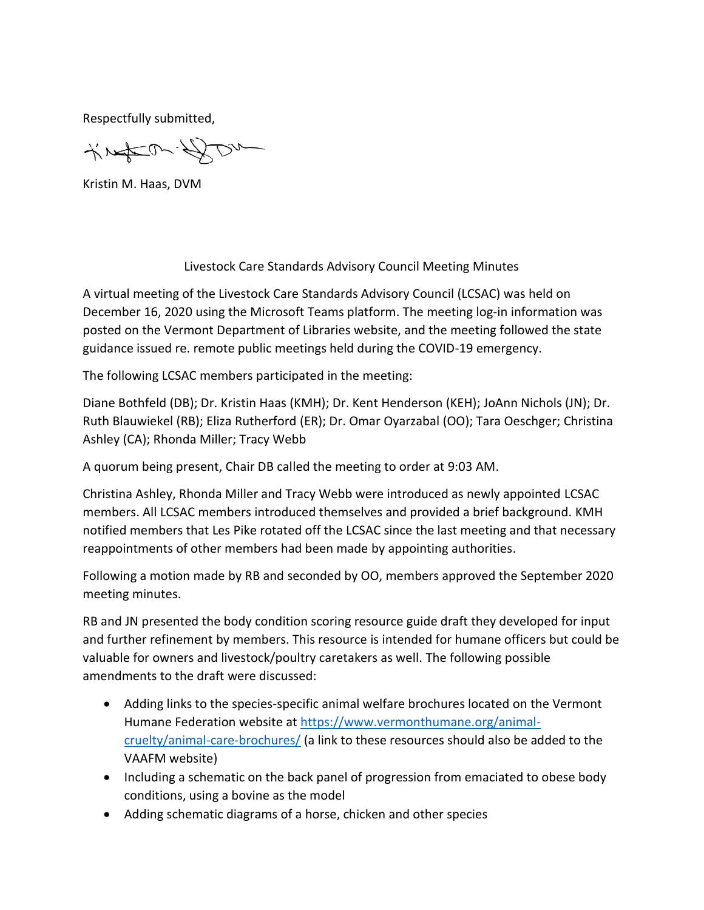Respectfully submitted,

KNACON-DOM

Kristin M. Haas, DVM

Livestock Care Standards Advisory Council Meeting Minutes

A virtual meeting of the Livestock Care Standards Advisory Council (LCSAC) was held on December 16, 2020 using the Microsoft Teams platform. The meeting log-in information was posted on the Vermont Department of Libraries website, and the meeting followed the state guidance issued re. remote public meetings held during the COVID-19 emergency.

The following LCSAC members participated in the meeting:

Diane Bothfeld (DB); Dr. Kristin Haas (KMH); Dr. Kent Henderson (KEH); JoAnn Nichols (JN); Dr. Ruth Blauwiekel (RB); Eliza Rutherford (ER); Dr. Omar Oyarzabal (OO); Tara Oeschger; Christina Ashley (CA); Rhonda Miller; Tracy Webb

A quorum being present, Chair DB called the meeting to order at 9:03 AM.

Christina Ashley, Rhonda Miller and Tracy Webb were introduced as newly appointed LCSAC members. All LCSAC members introduced themselves and provided a brief background. KMH notified members that Les Pike rotated off the LCSAC since the last meeting and that necessary reappointments of other members had been made by appointing authorities.

Following a motion made by RB and seconded by OO, members approved the September 2020 meeting minutes.

RB and JN presented the body condition scoring resource guide draft they developed for input and further refinement by members. This resource is intended for humane officers but could be valuable for owners and livestock/poultry caretakers as well. The following possible amendments to the draft were discussed:

- Adding links to the species-specific animal welfare brochures located on the Vermont Humane Federation website at [https://www.vermonthumane.org/animal](https://www.vermonthumane.org/animal-cruelty/animal-care-brochures/)[cruelty/animal-care-brochures/](https://www.vermonthumane.org/animal-cruelty/animal-care-brochures/) (a link to these resources should also be added to the VAAFM website)
- Including a schematic on the back panel of progression from emaciated to obese body conditions, using a bovine as the model
- Adding schematic diagrams of a horse, chicken and other species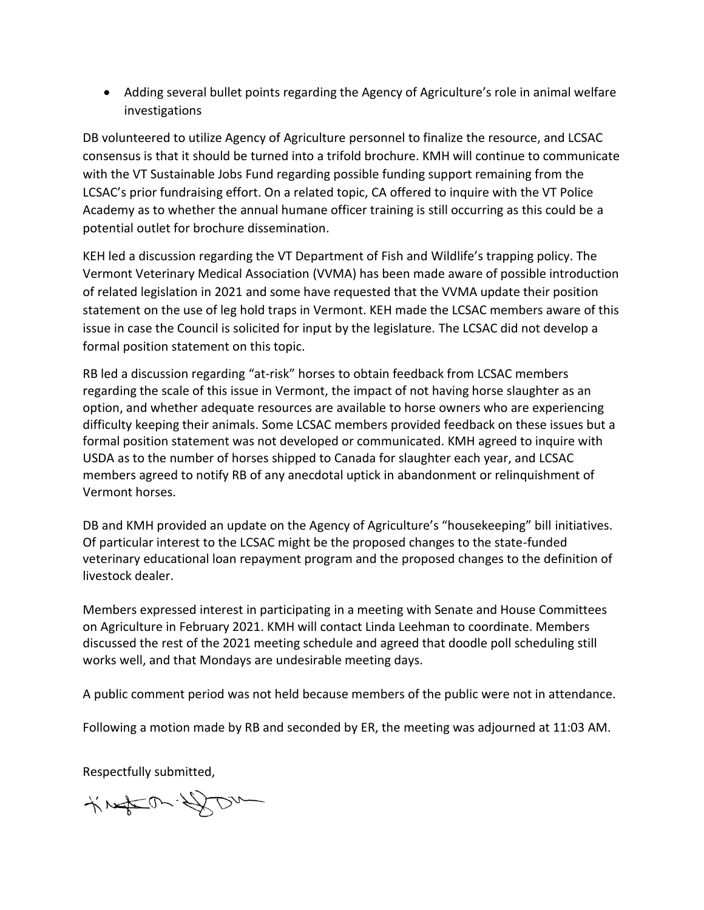• Adding several bullet points regarding the Agency of Agriculture's role in animal welfare investigations

DB volunteered to utilize Agency of Agriculture personnel to finalize the resource, and LCSAC consensus is that it should be turned into a trifold brochure. KMH will continue to communicate with the VT Sustainable Jobs Fund regarding possible funding support remaining from the LCSAC's prior fundraising effort. On a related topic, CA offered to inquire with the VT Police Academy as to whether the annual humane officer training is still occurring as this could be a potential outlet for brochure dissemination.

KEH led a discussion regarding the VT Department of Fish and Wildlife's trapping policy. The Vermont Veterinary Medical Association (VVMA) has been made aware of possible introduction of related legislation in 2021 and some have requested that the VVMA update their position statement on the use of leg hold traps in Vermont. KEH made the LCSAC members aware of this issue in case the Council is solicited for input by the legislature. The LCSAC did not develop a formal position statement on this topic.

RB led a discussion regarding "at-risk" horses to obtain feedback from LCSAC members regarding the scale of this issue in Vermont, the impact of not having horse slaughter as an option, and whether adequate resources are available to horse owners who are experiencing difficulty keeping their animals. Some LCSAC members provided feedback on these issues but a formal position statement was not developed or communicated. KMH agreed to inquire with USDA as to the number of horses shipped to Canada for slaughter each year, and LCSAC members agreed to notify RB of any anecdotal uptick in abandonment or relinquishment of Vermont horses.

DB and KMH provided an update on the Agency of Agriculture's "housekeeping" bill initiatives. Of particular interest to the LCSAC might be the proposed changes to the state-funded veterinary educational loan repayment program and the proposed changes to the definition of livestock dealer.

Members expressed interest in participating in a meeting with Senate and House Committees on Agriculture in February 2021. KMH will contact Linda Leehman to coordinate. Members discussed the rest of the 2021 meeting schedule and agreed that doodle poll scheduling still works well, and that Mondays are undesirable meeting days.

A public comment period was not held because members of the public were not in attendance.

Following a motion made by RB and seconded by ER, the meeting was adjourned at 11:03 AM.

Respectfully submitted,

KNACON-DOM